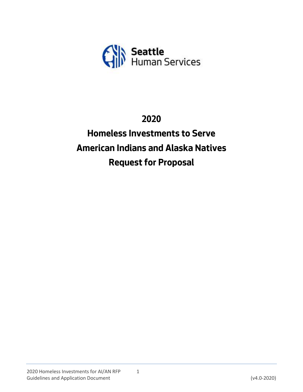

## **2020**

# **Homeless Investments to Serve American Indians and Alaska Natives Request for Proposal**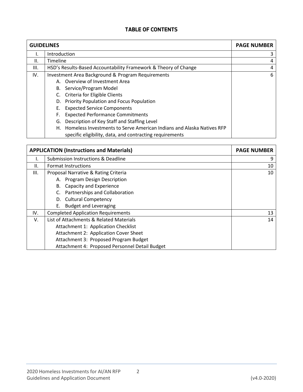### **TABLE OF CONTENTS**

| <b>GUIDELINES</b> | <b>PAGE NUMBER</b>                                                                                                                   |   |
|-------------------|--------------------------------------------------------------------------------------------------------------------------------------|---|
|                   | Introduction                                                                                                                         | 3 |
| II.               | Timeline                                                                                                                             | 4 |
| III.              | HSD's Results-Based Accountability Framework & Theory of Change                                                                      | 4 |
| IV.               | <b>Investment Area Background &amp; Program Requirements</b>                                                                         | 6 |
|                   | Overview of Investment Area<br>А.                                                                                                    |   |
|                   | B. Service/Program Model                                                                                                             |   |
|                   | C. Criteria for Eligible Clients                                                                                                     |   |
|                   | D. Priority Population and Focus Population                                                                                          |   |
|                   | <b>Expected Service Components</b><br>Е.                                                                                             |   |
|                   | <b>Expected Performance Commitments</b><br>F.                                                                                        |   |
|                   | Description of Key Staff and Staffing Level<br>G.                                                                                    |   |
|                   | H. Homeless Investments to Serve American Indians and Alaska Natives RFP<br>specific eligibility, data, and contracting requirements |   |

| <b>APPLICATION (Instructions and Materials)</b> | <b>PAGE NUMBER</b>                             |    |  |  |
|-------------------------------------------------|------------------------------------------------|----|--|--|
|                                                 | Submission Instructions & Deadline             | 9  |  |  |
| II.                                             | <b>Format Instructions</b>                     | 10 |  |  |
| III.                                            | Proposal Narrative & Rating Criteria           | 10 |  |  |
|                                                 | A. Program Design Description                  |    |  |  |
|                                                 | B. Capacity and Experience                     |    |  |  |
|                                                 | Partnerships and Collaboration                 |    |  |  |
|                                                 | D. Cultural Competency                         |    |  |  |
|                                                 | <b>Budget and Leveraging</b><br>Е.             |    |  |  |
| IV.                                             | <b>Completed Application Requirements</b>      | 13 |  |  |
| V.                                              | List of Attachments & Related Materials        | 14 |  |  |
|                                                 | Attachment 1: Application Checklist            |    |  |  |
|                                                 | Attachment 2: Application Cover Sheet          |    |  |  |
|                                                 | Attachment 3: Proposed Program Budget          |    |  |  |
|                                                 | Attachment 4: Proposed Personnel Detail Budget |    |  |  |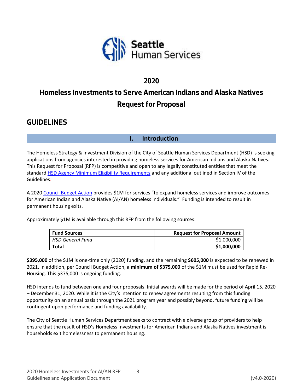

## **2020**

## **Homeless Investments to Serve American Indians and Alaska Natives Request for Proposal**

## **GUIDELINES**

**I. Introduction**

The Homeless Strategy & Investment Division of the City of Seattle Human Services Department (HSD) is seeking applications from agencies interested in providing homeless services for American Indians and Alaska Natives. This Request for Proposal (RFP) is competitive and open to any legally constituted entities that meet the standard [HSD Agency Minimum Eligibility Requirements](http://www.seattle.gov/humanservices/funding-and-reports/funding-opportunities) and any additional outlined in Section IV of the Guidelines.

A 202[0 Council Budget Action](https://seattle.legistar.com/View.ashx?M=F&ID=7904687&GUID=4FDC27E4-3A4F-45C5-87E9-A51B51F8B50A) provides \$1M for services "to expand homeless services and improve outcomes for American Indian and Alaska Native (AI/AN) homeless individuals." Funding is intended to result in permanent housing exits.

Approximately \$1M is available through this RFP from the following sources:

| <b>Fund Sources</b> | <b>Request for Proposal Amount</b> |
|---------------------|------------------------------------|
| HSD General Fund    | \$1,000,000                        |
| <b>Total</b>        | \$1,000,000                        |

**\$395,000** of the \$1M is one-time only (2020) funding, and the remaining **\$605,000** is expected to be renewed in 2021. In addition, per Council Budget Action, a **minimum of \$375,000** of the \$1M must be used for Rapid Re-Housing. This \$375,000 is ongoing funding.

HSD intends to fund between one and four proposals. Initial awards will be made for the period of April 15, 2020 – December 31, 2020. While it is the City's intention to renew agreements resulting from this funding opportunity on an annual basis through the 2021 program year and possibly beyond, future funding will be contingent upon performance and funding availability.

The City of Seattle Human Services Department seeks to contract with a diverse group of providers to help ensure that the result of HSD's Homeless Investments for American Indians and Alaska Natives investment is households exit homelessness to permanent housing.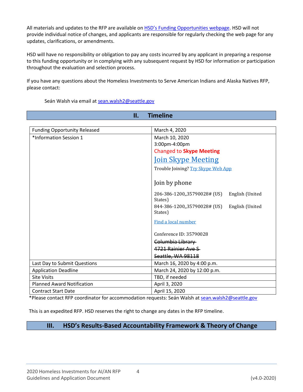All materials and updates to the RFP are available on [HSD's Funding Opportunities webpage](http://www.seattle.gov/humanservices/funding-and-reports/funding-opportunities). HSD will not provide individual notice of changes, and applicants are responsible for regularly checking the web page for any updates, clarifications, or amendments.

HSD will have no responsibility or obligation to pay any costs incurred by any applicant in preparing a response to this funding opportunity or in complying with any subsequent request by HSD for information or participation throughout the evaluation and selection process.

If you have any questions about the Homeless Investments to Serve American Indians and Alaska Natives RFP, please contact:

Seán Walsh via email at [sean.walsh2@seattle.gov](mailto:sean.walsh2@seattle.gov)

| <b>Timeline</b><br>П.                                |                                                            |  |  |  |
|------------------------------------------------------|------------------------------------------------------------|--|--|--|
|                                                      |                                                            |  |  |  |
| <b>Funding Opportunity Released</b><br>March 4, 2020 |                                                            |  |  |  |
| *Information Session 1                               | March 10, 2020                                             |  |  |  |
|                                                      | 3:00pm-4:00pm                                              |  |  |  |
|                                                      | <b>Changed to Skype Meeting</b>                            |  |  |  |
|                                                      | <b>Join Skype Meeting</b>                                  |  |  |  |
|                                                      | Trouble Joining? Try Skype Web App                         |  |  |  |
|                                                      | Join by phone                                              |  |  |  |
|                                                      | 206-386-1200, 35790028# (US)<br>English (United<br>States) |  |  |  |
|                                                      | 844-386-1200, 35790028# (US)<br>English (United<br>States) |  |  |  |
|                                                      | Find a local number                                        |  |  |  |
|                                                      | Conference ID: 35790028                                    |  |  |  |
|                                                      | Columbia Library                                           |  |  |  |
|                                                      | 4721 Rainier Ave S-                                        |  |  |  |
|                                                      | Seattle, WA 98118                                          |  |  |  |
| Last Day to Submit Questions                         | March 16, 2020 by 4:00 p.m.                                |  |  |  |
| <b>Application Deadline</b>                          | March 24, 2020 by 12:00 p.m.                               |  |  |  |
| <b>Site Visits</b>                                   | TBD, if needed                                             |  |  |  |
| <b>Planned Award Notification</b>                    | April 3, 2020                                              |  |  |  |
| <b>Contract Start Date</b>                           | April 15, 2020                                             |  |  |  |

\*Please contact RFP coordinator for accommodation requests: Seán Walsh at [sean.walsh2@seattle.gov](mailto:sean.walsh2@seattle.gov)

This is an expedited RFP. HSD reserves the right to change any dates in the RFP timeline.

### **III. HSD's Results-Based Accountability Framework & Theory of Change**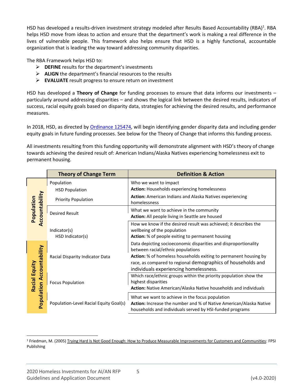HSD has developed a results-driven investment strategy modeled after Results Based Accountability (RBA)<sup>1</sup>. RBA helps HSD move from ideas to action and ensure that the department's work is making a real difference in the lives of vulnerable people. This framework also helps ensure that HSD is a highly functional, accountable organization that is leading the way toward addressing community disparities.

The RBA Framework helps HSD to:

- ➢ **DEFINE** results for the department's investments
- ➢ **ALIGN** the department's financial resources to the results
- ➢ **EVALUATE** result progress to ensure return on investment

HSD has developed a **Theory of Change** for funding processes to ensure that data informs our investments – particularly around addressing disparities – and shows the logical link between the desired results, indicators of success, racial equity goals based on disparity data, strategies for achieving the desired results, and performance measures.

In 2018, HSD, as directed by [Ordinance 125474,](https://seattle.legistar.com/View.ashx?M=F&ID=5695995&GUID=30B3D03D-870E-4283-8341-F6AE4D046BF0) will begin identifying gender disparity data and including gender equity goals in future funding processes. See below for the Theory of Change that informs this funding process.

All investments resulting from this funding opportunity will demonstrate alignment with HSD's theory of change towards achieving the desired result of: American Indians/Alaska Natives experiencing homelessness exit to permanent housing.

|                             | <b>Theory of Change Term</b>           | <b>Definition &amp; Action</b>                                                                                                                                                                                                                                                     |
|-----------------------------|----------------------------------------|------------------------------------------------------------------------------------------------------------------------------------------------------------------------------------------------------------------------------------------------------------------------------------|
|                             | Population<br><b>HSD Population</b>    | Who we want to impact<br><b>Action: Households experiencing homelessness</b>                                                                                                                                                                                                       |
|                             | <b>Priority Population</b>             | Action: American Indians and Alaska Natives experiencing<br>homelessness                                                                                                                                                                                                           |
| ccountability<br>Population | <b>Desired Result</b>                  | What we want to achieve in the community<br>Action: All people living in Seattle are housed                                                                                                                                                                                        |
|                             | Indicator(s)<br>HSD Indicator(s)       | How we know if the desired result was achieved; it describes the<br>wellbeing of the population<br>Action: % of people exiting to permanent housing                                                                                                                                |
| Population Accountability   | Racial Disparity Indicator Data        | Data depicting socioeconomic disparities and disproportionality<br>between racial/ethnic populations<br>Action: % of homeless households exiting to permanent housing by<br>race, as compared to regional demographics of households and<br>individuals experiencing homelessness. |
| Racial Equity               | <b>Focus Population</b>                | Which race/ethnic groups within the priority population show the<br>highest disparities<br>Action: Native American/Alaska Native households and individuals                                                                                                                        |
|                             | Population-Level Racial Equity Goal(s) | What we want to achieve in the focus population<br>Action: Increase the number and % of Native American/Alaska Native<br>households and individuals served by HSI-funded programs                                                                                                  |

<sup>1</sup> Friedman, M. (2005) Trying Hard Is Not Good Enough: How to Produce Measurable Improvements for Customers and Communities: FPSI Publishing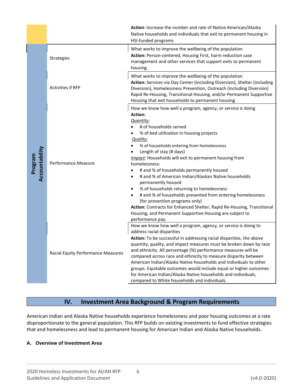|                           |                                                                  | Action: Increase the number and rate of Native American/Alaska<br>Native households and individuals that exit to permanent housing in<br>HSI-funded programs                                                                                                                                                                                                                                                                                                                                                                                                                                                                                                                                                                                                                                                                                                                                                                                                                                                                                                                                                                                                                                                                                      |
|---------------------------|------------------------------------------------------------------|---------------------------------------------------------------------------------------------------------------------------------------------------------------------------------------------------------------------------------------------------------------------------------------------------------------------------------------------------------------------------------------------------------------------------------------------------------------------------------------------------------------------------------------------------------------------------------------------------------------------------------------------------------------------------------------------------------------------------------------------------------------------------------------------------------------------------------------------------------------------------------------------------------------------------------------------------------------------------------------------------------------------------------------------------------------------------------------------------------------------------------------------------------------------------------------------------------------------------------------------------|
|                           | Strategies                                                       | What works to improve the wellbeing of the population<br>Action: Person-centered, Housing First, harm reduction case<br>management and other services that support exits to permanent<br>housing.                                                                                                                                                                                                                                                                                                                                                                                                                                                                                                                                                                                                                                                                                                                                                                                                                                                                                                                                                                                                                                                 |
|                           | Activities if RFP                                                | What works to improve the wellbeing of the population<br>Action: Services via Day Center (including Diversion), Shelter (including<br>Diversion), Homelessness Prevention, Outreach (including Diversion)<br>Rapid Re-Housing, Transitional Housing, and/or Permanent Supportive<br>Housing that exit households to permanent housing                                                                                                                                                                                                                                                                                                                                                                                                                                                                                                                                                                                                                                                                                                                                                                                                                                                                                                             |
| Accountability<br>Program | Performance Measure<br><b>Racial Equity Performance Measures</b> | How we know how well a program, agency, or service is doing<br>Action:<br>Quantity:<br># of households served<br>% of bed utilization in housing projects<br>Quality:<br>% of households entering from homelessness<br>Length of stay (# days)<br>Impact: Households will exit to permanent housing from<br>homelessness:<br># and % of households permanently housed<br>٠<br># and % of American Indian/Alaskan Native households<br>$\bullet$<br>permanently housed<br>% of households returning to homelessness<br>$\bullet$<br># and % of households prevented from entering homelessness<br>(for prevention programs only)<br>Action: Contracts for Enhanced Shelter, Rapid Re-Housing, Transitional<br>Housing, and Permanent Supportive Housing are subject to<br>performance pay.<br>How we know how well a program, agency, or service is doing to<br>address racial disparities<br>Action: To be successful in addressing racial disparities, the above<br>quantity, quality, and impact measures must be broken down by race<br>and ethnicity. All percentage (%) performance measures will be<br>compared across race and ethnicity to measure disparity between<br>American Indian/Alaska Native households and individuals to other |
|                           |                                                                  | groups. Equitable outcomes would include equal or higher outcomes<br>for American Indian/Alaska Native households and individuals,<br>compared to White households and individuals.                                                                                                                                                                                                                                                                                                                                                                                                                                                                                                                                                                                                                                                                                                                                                                                                                                                                                                                                                                                                                                                               |

## **IV. Investment Area Background & Program Requirements**

American Indian and Alaska Native households experience homelessness and poor housing outcomes at a rate disproportionate to the general population. This RFP builds on existing investments to fund effective strategies that end homelessness and lead to permanent housing for American Indian and Alaska Native households.

#### **A. Overview of Investment Area**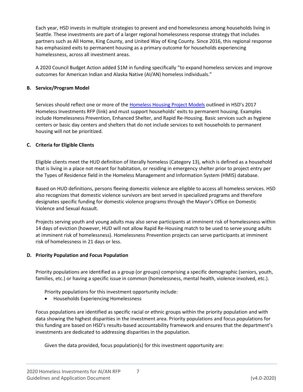Each year, HSD invests in multiple strategies to prevent and end homelessness among households living in Seattle. These investments are part of a larger regional homelessness response strategy that includes partners such as All Home, King County, and United Way of King County. Since 2016, this regional response has emphasized exits to permanent housing as a primary outcome for households experiencing homelessness, across all investment areas.

A 2020 Council Budget Action added \$1M in funding specifically "to expand homeless services and improve outcomes for American Indian and Alaska Native (AI/AN) homeless individuals."

#### **B. Service/Program Model**

Services should reflect one or more of the [Homeless Housing Project Models](http://www.seattle.gov/Documents/Departments/HomelessInvestmentsRFP/Appendix%20D%20-%20Homeless%20Housing%20Project%20Models.pdf) outlined in HSD's 2017 Homeless Investments RFP (link) and must support households' exits to permanent housing. Examples include Homelessness Prevention, Enhanced Shelter, and Rapid Re-Housing. Basic services such as hygiene centers or basic day centers and shelters that do not include services to exit households to permanent housing will not be prioritized.

#### **C. Criteria for Eligible Clients**

Eligible clients meet the HUD definition of literally homeless (Category 13), which is defined as a household that is living in a place not meant for habitation, or residing in emergency shelter prior to project entry per the Types of Residence field in the Homeless Management and Information System (HMIS) database.

Based on HUD definitions, persons fleeing domestic violence are eligible to access all homeless services. HSD also recognizes that domestic violence survivors are best served in specialized programs and therefore designates specific funding for domestic violence programs through the Mayor's Office on Domestic Violence and Sexual Assault.

Projects serving youth and young adults may also serve participants at imminent risk of homelessness within 14 days of eviction (however, HUD will not allow Rapid Re-Housing match to be used to serve young adults at imminent risk of homelessness). Homelessness Prevention projects can serve participants at imminent risk of homelessness in 21 days or less.

#### **D. Priority Population and Focus Population**

Priority populations are identified as a group (or groups) comprising a specific demographic (seniors, youth, families, etc.) or having a specific issue in common (homelessness, mental health, violence involved, etc.).

Priority populations for this investment opportunity include:

• Households Experiencing Homelessness

Focus populations are identified as specific racial or ethnic groups within the priority population and with data showing the highest disparities in the investment area. Priority populations and focus populations for this funding are based on HSD's results-based accountability framework and ensures that the department's investments are dedicated to addressing disparities in the population.

Given the data provided, focus population(s) for this investment opportunity are: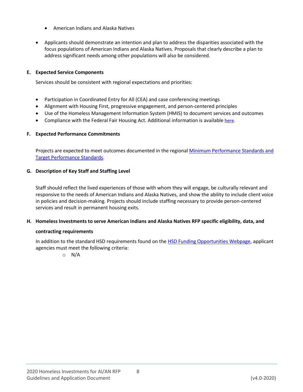- American Indians and Alaska Natives
- Applicants should demonstrate an intention and plan to address the disparities associated with the focus populations of American Indians and Alaska Natives. Proposals that clearly describe a plan to address significant needs among other populations will also be considered.

#### **E. Expected Service Components**

Services should be consistent with regional expectations and priorities:

- Participation in Coordinated Entry for All (CEA) and case conferencing meetings
- Alignment with Housing First, progressive engagement, and person-centered principles
- Use of the Homeless Management Information System (HMIS) to document services and outcomes
- Compliance with the Federal Fair Housing Act. Additional information is available [here](https://www.kingcounty.gov/~/media/exec/civilrights/documents/NPHO-Shelter.ashx?la=en).

#### **F. Expected Performance Commitments**

Projects are expected to meet outcomes documented in the regional Minimum Performance Standards and [Target Performance Standards](http://www.seattle.gov/Documents/Departments/HumanServices/Funding/System-Wide_and_City-of-Seattle-HSD_Performance-Standards.pdf).

#### **G. Description of Key Staff and Staffing Level**

Staff should reflect the lived experiences of those with whom they will engage, be culturally relevant and responsive to the needs of American Indians and Alaska Natives, and show the ability to include client voice in policies and decision-making. Projects should include staffing necessary to provide person-centered services and result in permanent housing exits.

#### **H. Homeless Investments to serve American Indians and Alaska Natives RFP specific eligibility, data, and**

#### **contracting requirements**

In addition to the standard HSD requirements found on the [HSD Funding Opportunities Webpage,](http://www.seattle.gov/humanservices/funding-and-reports/funding-opportunities) applicant agencies must meet the following criteria:

o N/A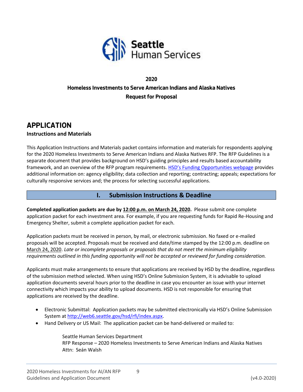

## **2020 Homeless Investments to Serve American Indians and Alaska Natives Request for Proposal**

## **APPLICATION**

#### **Instructions and Materials**

This Application Instructions and Materials packet contains information and materials for respondents applying for the 2020 Homeless Investments to Serve American Indians and Alaska Natives RFP. The RFP Guidelines is a separate document that provides background on HSD's guiding principles and results based accountability framework, and an overview of the RFP program requirements. [HSD's Funding Opportunities webpag](http://www.seattle.gov/humanservices/funding-and-reports/funding-opportunities)e provides additional information on: agency eligibility; data collection and reporting; contracting; appeals; expectations for culturally responsive services and; the process for selecting successful applications.

#### **I. Submission Instructions & Deadline**

**Completed application packets are due by 12:00 p.m. on March 24, 2020.** Please submit one complete application packet for each investment area. For example, if you are requesting funds for Rapid Re-Housing and Emergency Shelter, submit a complete application packet for each.

Application packets must be received in person, by mail, or electronic submission. No faxed or e-mailed proposals will be accepted. Proposals must be received and date/time stamped by the 12:00 p.m. deadline on March 24, 2020. *Late or incomplete proposals or proposals that do not meet the minimum eligibility requirements outlined in this funding opportunity will not be accepted or reviewed for funding consideration.*

Applicants must make arrangements to ensure that applications are received by HSD by the deadline, regardless of the submission method selected. When using HSD's Online Submission System, it is advisable to upload application documents several hours prior to the deadline in case you encounter an issue with your internet connectivity which impacts your ability to upload documents. HSD is not responsible for ensuring that applications are received by the deadline.

- Electronic Submittal: Application packets may be submitted electronically via HSD's Online Submission System at [http://web6.seattle.gov/hsd/rfi/index.aspx.](http://web6.seattle.gov/hsd/rfi/index.aspx)
- Hand Delivery or US Mail: The application packet can be hand-delivered or mailed to:

Seattle Human Services Department RFP Response – 2020 Homeless Investments to Serve American Indians and Alaska Natives Attn: Seán Walsh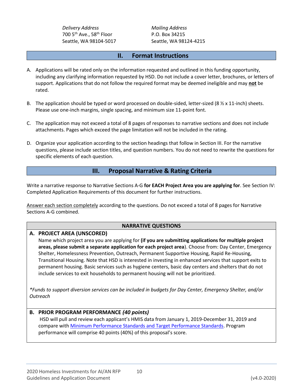*Delivery Address Mailing Address* 700 5<sup>th</sup> Ave., 58<sup>th</sup> Floor P.O. Box 34215

Seattle, WA 98104-5017 Seattle, WA 98124-4215

#### **II. Format Instructions**

- A. Applications will be rated only on the information requested and outlined in this funding opportunity, including any clarifying information requested by HSD. Do not include a cover letter, brochures, or letters of support. Applications that do not follow the required format may be deemed ineligible and may **not** be rated.
- B. The application should be typed or word processed on double-sided, letter-sized (8  $\frac{1}{2}$  x 11-inch) sheets. Please use one-inch margins, single spacing, and minimum size 11-point font.
- C. The application may not exceed a total of 8 pages of responses to narrative sections and does not include attachments. Pages which exceed the page limitation will not be included in the rating.
- D. Organize your application according to the section headings that follow in Section III. For the narrative questions, please include section titles, and question numbers. You do not need to rewrite the questions for specific elements of each question.

#### **III. Proposal Narrative & Rating Criteria**

Write a narrative response to Narrative Sections A-G **for EACH Project Area you are applying for**. See Section IV: Completed Application Requirements of this document for further instructions.

Answer each section completely according to the questions. Do not exceed a total of 8 pages for Narrative Sections A-G combined.

#### **NARRATIVE QUESTIONS**

#### **A. PROJECT AREA (UNSCORED)**

Name which project area you are applying for **(if you are submitting applications for multiple project areas, please submit a separate application for each project area**). Choose from: Day Center, Emergency Shelter, Homelessness Prevention, Outreach, Permanent Supportive Housing, Rapid Re-Housing, Transitional Housing. Note that HSD is interested in investing in enhanced services that support exits to permanent housing. Basic services such as hygiene centers, basic day centers and shelters that do not include services to exit households to permanent housing will not be prioritized.

*\*Funds to support diversion services can be included in budgets for Day Center, Emergency Shelter, and/or Outreach*

#### **B. PRIOR PROGRAM PERFORMANCE** *(40 points)*

HSD will pull and review each applicant's HMIS data from January 1, 2019-December 31, 2019 and compare with [Minimum Performance Standards and Target Performance Standards.](http://www.seattle.gov/Documents/Departments/HumanServices/Funding/System-Wide_and_City-of-Seattle-HSD_Performance-Standards.pdf) Program performance will comprise 40 points (40%) of this proposal's score.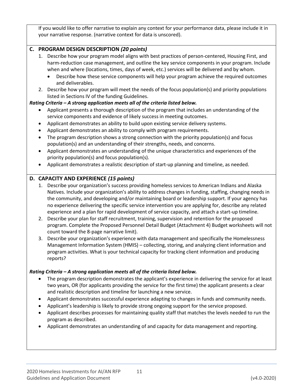If you would like to offer narrative to explain any context for your performance data, please include it in your narrative response. (narrative context for data is unscored).

#### **C. PROGRAM DESIGN DESCRIPTION** *(20 points)*

- 1. Describe how your program model aligns with best practices of person-centered, Housing First, and harm-reduction case management, and outline the key service components in your program. Include when and where (locations, times, days of week, etc.) services will be delivered and by whom.
	- Describe how these service components will help your program achieve the required outcomes and deliverables.
- 2. Describe how your program will meet the needs of the focus population(s) and priority populations listed in Sections IV of the funding Guidelines.

#### *Rating Criteria – A strong application meets all of the criteria listed below.*

- Applicant presents a thorough description of the program that includes an understanding of the service components and evidence of likely success in meeting outcomes.
- Applicant demonstrates an ability to build upon existing service delivery systems.
- Applicant demonstrates an ability to comply with program requirements.
- The program description shows a strong connection with the priority population(s) and focus population(s) and an understanding of their strengths, needs, and concerns.
- Applicant demonstrates an understanding of the unique characteristics and experiences of the priority population(s) and focus population(s).
- Applicant demonstrates a realistic description of start-up planning and timeline, as needed.

#### **D. CAPACITY AND EXPERIENCE** *(15 points)*

- 1. Describe your organization's success providing homeless services to American Indians and Alaska Natives. Include your organization's ability to address changes in funding, staffing, changing needs in the community, and developing and/or maintaining board or leadership support. If your agency has no experience delivering the specific service intervention you are applying for, describe any related experience and a plan for rapid development of service capacity, and attach a start-up timeline.
- 2. Describe your plan for staff recruitment, training, supervision and retention for the proposed program. Complete the Proposed Personnel Detail Budget (Attachment 4) Budget worksheets will not count toward the 8-page narrative limit).
- 3. Describe your organization's experience with data management and specifically the Homelessness Management Information System (HMIS) – collecting, storing, and analyzing client information and program activities. What is your technical capacity for tracking client information and producing reports?

#### *Rating Criteria – A strong application meets all of the criteria listed below.*

- The program description demonstrates the applicant's experience in delivering the service for at least two years, OR (for applicants providing the service for the first time) the applicant presents a clear and realistic description and timeline for launching a new service.
- Applicant demonstrates successful experience adapting to changes in funds and community needs.
- Applicant's leadership is likely to provide strong ongoing support for the service proposed.
- Applicant describes processes for maintaining quality staff that matches the levels needed to run the program as described.
- Applicant demonstrates an understanding of and capacity for data management and reporting.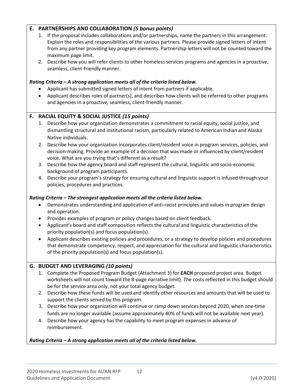#### **E. PARTNERSHIPS AND COLLABORATION** *(5 bonus points)*

- 1. If the proposal includes collaborations and/or partnerships, name the partners in this arrangement. Explain the roles and responsibilities of the various partners. Please provide signed letters of intent from any partner providing key program elements. Partnership letters will not be counted toward the maximum page limit.
- 2. Describe how you will refer clients to other homeless services programs and agencies in a proactive, seamless, client-friendly manner.

#### *Rating Criteria – A strong application meets all of the criteria listed below.*

- Applicant has submitted signed letters of intent from partners if applicable.
- Applicant describes roles of partner(s), and describes how clients will be referred to other programs and agencies in a proactive, seamless, client-friendly manner.

#### **F. RACIAL EQUITY & SOCIAL JUSTICE** *(15 points)*

- 1. Describe how your organization demonstrates a commitment to racial equity, social justice, and dismantling structural and institutional racism, particularly related to American Indian and Alaska Native individuals.
- 2. Describe how your organization incorporates client/resident voice in program services, policies, and decision-making. Provide an example of a decision that was made or influenced by client/resident voice. What are you trying that's different as a result?
- 3. Describe how the agency board and staff represent the cultural, linguistic and socio-economic background of program participants.
- 4. Describe your program's strategy for ensuring cultural and linguistic support is infused through your policies, procedures and practices.

#### *Rating Criteria – The strongest application meets all the criteria listed below.*

- Demonstrates understanding and application of anti-racist principles and values in program design and operation.
- Provides examples of program or policy changes based on client feedback.
- Applicant's board and staff composition reflects the cultural and linguistic characteristics of the priority population(s) and focus population(s).
- Applicant describes existing policies and procedures, or a strategy to develop policies and procedures that demonstrate competency, respect, and appreciation for the cultural and linguistic characteristics of the priority population(s) and focus population(s).

#### **G. BUDGET AND LEVERAGING** *(10 points)*

- 1. Complete the Proposed Program Budget (Attachment 3) for **EACH** proposed project area. Budget worksheets will not count toward the 8-page narrative limit). The costs reflected in this budget should be for the service area only, not your total agency budget.
- 2. Describe how these funds will be used and identify other resources and amounts that will be used to support the clients served by this program.
- 3. Describe how your organization will continue or ramp down services beyond 2020, when one-time funds are no longer available (assume approximately 40% of funds will not be available next year).
- 4. Describe how your agency has the capability to meet program expenses in advance of reimbursement.

#### *Rating Criteria – A strong application meets all of the criteria listed below.*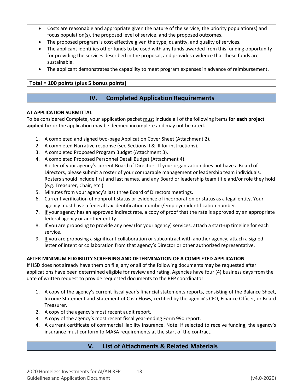- Costs are reasonable and appropriate given the nature of the service, the priority population(s) and focus population(s), the proposed level of service, and the proposed outcomes.
- The proposed program is cost effective given the type, quantity, and quality of services.
- The applicant identifies other funds to be used with any funds awarded from this funding opportunity for providing the services described in the proposal, and provides evidence that these funds are sustainable.
- The applicant demonstrates the capability to meet program expenses in advance of reimbursement.

#### **Total = 100 points (plus 5 bonus points)**

#### **IV. Completed Application Requirements**

#### **AT APPLICATION SUBMITTAL**

To be considered Complete, your application packet must include all of the following items **for each project applied for** or the application may be deemed incomplete and may not be rated.

- 1. A completed and signed two-page Application Cover Sheet (Attachment 2).
- 2. A completed Narrative response (see Sections II & III for instructions).
- 3. A completed Proposed Program Budget (Attachment 3).
- 4. A completed Proposed Personnel Detail Budget (Attachment 4). Roster of your agency's current Board of Directors. If your organization does not have a Board of Directors, please submit a roster of your comparable management or leadership team individuals. Rosters should include first and last names, and any Board or leadership team title and/or role they hold (e.g. Treasurer, Chair, etc.)
- 5. Minutes from your agency's last three Board of Directors meetings.
- 6. Current verification of nonprofit status or evidence of incorporation or status as a legal entity. Your agency must have a federal tax identification number/employer identification number.
- 7. If your agency has an approved indirect rate, a copy of proof that the rate is approved by an appropriate federal agency or another entity.
- 8. If you are proposing to provide any new (for your agency) services, attach a start-up timeline for each service.
- 9. If you are proposing a significant collaboration or subcontract with another agency, attach a signed letter of intent or collaboration from that agency's Director or other authorized representative.

#### **AFTER MINIMUM ELIGIBILITY SCREENING AND DETERMINATION OF A COMPLETED APPLICATION**

If HSD does not already have them on file, any or all of the following documents may be requested after applications have been determined eligible for review and rating. Agencies have four (4) business days from the date of written request to provide requested documents to the RFP coordinator:

- 1. A copy of the agency's current fiscal year's financial statements reports, consisting of the Balance Sheet, Income Statement and Statement of Cash Flows, certified by the agency's CFO, Finance Officer, or Board Treasurer.
- 2. A copy of the agency's most recent audit report.
- 3. A copy of the agency's most recent fiscal year-ending Form 990 report.
- 4. A current certificate of commercial liability insurance. Note: if selected to receive funding, the agency's insurance must conform to MASA requirements at the start of the contract.

### **V. List of Attachments & Related Materials**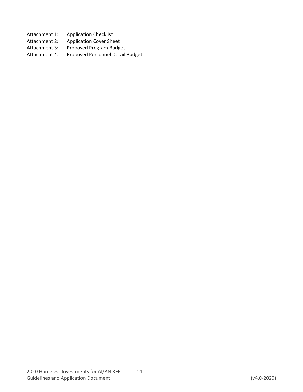- Attachment 1: Application Checklist
- Attachment 2: Application Cover Sheet
- Attachment 3: Proposed Program Budget
- Attachment 4: Proposed Personnel Detail Budget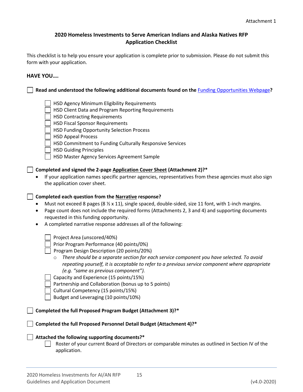#### **2020 Homeless Investments to Serve American Indians and Alaska Natives RFP Application Checklist**

This checklist is to help you ensure your application is complete prior to submission. Please do not submit this form with your application.

#### **HAVE YOU….**

**Read and understood the following additional documents found on the** [Funding Opportunities Webpage](http://www.seattle.gov/humanservices/funding-and-reports/funding-opportunities)**?**

- HSD Agency Minimum Eligibility Requirements
- HSD Client Data and Program Reporting Requirements
- HSD Contracting Requirements
- HSD Fiscal Sponsor Requirements
- HSD Funding Opportunity Selection Process
- HSD Appeal Process
- HSD Commitment to Funding Culturally Responsive Services
- | HSD Guiding Principles
- HSD Master Agency Services Agreement Sample

#### **Completed and signed the 2-page Application Cover Sheet (Attachment 2)?\***

• If your application names specific partner agencies, representatives from these agencies must also sign the application cover sheet.

#### **Completed each question from the Narrative response?**

- Must not exceed 8 pages (8  $\frac{1}{2}$  x 11), single spaced, double-sided, size 11 font, with 1-inch margins.
- Page count does not include the required forms (Attachments 2, 3 and 4) and supporting documents requested in this funding opportunity.
- A completed narrative response addresses all of the following:

Project Area (unscored/40%)

Prior Program Performance (40 points/0%)

Program Design Description (20 points/20%)

o *There should be a separate section for each service component you have selected. To avoid repeating yourself, it is acceptable to refer to a previous service component where appropriate (e.g. "same as previous component").*

Capacity and Experience (15 points/15%)

Partnership and Collaboration (bonus up to 5 points)

Cultural Competency (15 points/15%)

Budget and Leveraging (10 points/10%)

**Completed the full Proposed Program Budget (Attachment 3)?\***

**Completed the full Proposed Personnel Detail Budget (Attachment 4)?\***

#### **Attached the following supporting documents?\***

Roster of your current Board of Directors or comparable minutes as outlined in Section IV of the application.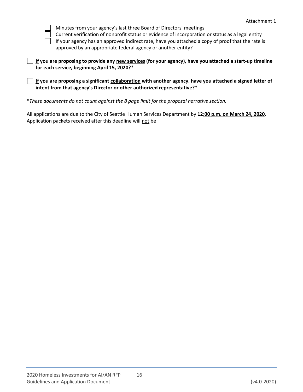

Minutes from your agency's last three Board of Directors' meetings

Current verification of nonprofit status or evidence of incorporation or status as a legal entity

If your agency has an approved indirect rate, have you attached a copy of proof that the rate is approved by an appropriate federal agency or another entity?

| $\Box$ If you are proposing to provide any new services (for your agency), have you attached a start-up timeline |
|------------------------------------------------------------------------------------------------------------------|
| for each service, beginning April 15, 2020?*                                                                     |

**If you are proposing a significant collaboration with another agency, have you attached a signed letter of intent from that agency's Director or other authorized representative?\***

**\****These documents do not count against the 8 page limit for the proposal narrative section.*

All applications are due to the City of Seattle Human Services Department by **12:00 p.m. on March 24, 2020**. Application packets received after this deadline will not be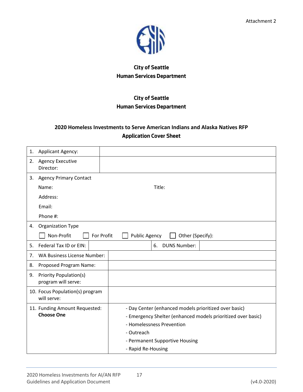

## **City of Seattle Human Services Department**

## **City of Seattle Human Services Department**

## **2020 Homeless Investments to Serve American Indians and Alaska Natives RFP Application Cover Sheet**

| 1. | <b>Applicant Agency:</b>                             |                                                              |  |  |
|----|------------------------------------------------------|--------------------------------------------------------------|--|--|
| 2. | <b>Agency Executive</b><br>Director:                 |                                                              |  |  |
| 3. | <b>Agency Primary Contact</b>                        |                                                              |  |  |
|    | Name:                                                | Title:                                                       |  |  |
|    | Address:                                             |                                                              |  |  |
|    | Email:                                               |                                                              |  |  |
|    | Phone #:                                             |                                                              |  |  |
| 4. | <b>Organization Type</b>                             |                                                              |  |  |
|    | Non-Profit<br>For Profit                             | <b>Public Agency</b><br>Other (Specify):                     |  |  |
| 5. | Federal Tax ID or EIN:                               | <b>DUNS Number:</b><br>6.                                    |  |  |
| 7. | <b>WA Business License Number:</b>                   |                                                              |  |  |
| 8. | Proposed Program Name:                               |                                                              |  |  |
| 9. | <b>Priority Population(s)</b><br>program will serve: |                                                              |  |  |
|    | 10. Focus Population(s) program<br>will serve:       |                                                              |  |  |
|    | 11. Funding Amount Requested:                        | - Day Center (enhanced models prioritized over basic)        |  |  |
|    | <b>Choose One</b>                                    | - Emergency Shelter (enhanced models prioritized over basic) |  |  |
|    |                                                      | - Homelessness Prevention                                    |  |  |
|    |                                                      | - Outreach                                                   |  |  |
|    |                                                      | - Permanent Supportive Housing                               |  |  |
|    |                                                      | - Rapid Re-Housing                                           |  |  |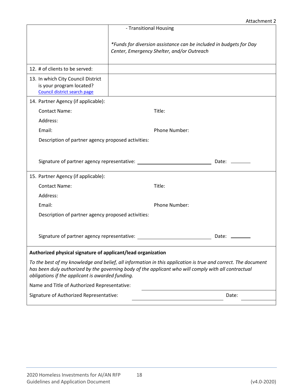|                                                                                                |                                                                                                                                                                                                                       | Attachment 2   |
|------------------------------------------------------------------------------------------------|-----------------------------------------------------------------------------------------------------------------------------------------------------------------------------------------------------------------------|----------------|
|                                                                                                | - Transitional Housing                                                                                                                                                                                                |                |
|                                                                                                | *Funds for diversion assistance can be included in budgets for Day<br>Center, Emergency Shelter, and/or Outreach                                                                                                      |                |
| 12. # of clients to be served:                                                                 |                                                                                                                                                                                                                       |                |
| 13. In which City Council District<br>is your program located?<br>Council district search page |                                                                                                                                                                                                                       |                |
| 14. Partner Agency (if applicable):                                                            |                                                                                                                                                                                                                       |                |
| <b>Contact Name:</b>                                                                           | Title:                                                                                                                                                                                                                |                |
| Address:                                                                                       |                                                                                                                                                                                                                       |                |
| Email:                                                                                         | Phone Number:                                                                                                                                                                                                         |                |
| Description of partner agency proposed activities:                                             |                                                                                                                                                                                                                       |                |
|                                                                                                |                                                                                                                                                                                                                       |                |
|                                                                                                |                                                                                                                                                                                                                       | Date: ________ |
| 15. Partner Agency (if applicable):                                                            |                                                                                                                                                                                                                       |                |
| <b>Contact Name:</b>                                                                           | Title:                                                                                                                                                                                                                |                |
| Address:                                                                                       |                                                                                                                                                                                                                       |                |
| Email:                                                                                         | Phone Number:                                                                                                                                                                                                         |                |
| Description of partner agency proposed activities:                                             |                                                                                                                                                                                                                       |                |
|                                                                                                |                                                                                                                                                                                                                       |                |
| Signature of partner agency representative:                                                    |                                                                                                                                                                                                                       | Date: $\_\_$   |
|                                                                                                |                                                                                                                                                                                                                       |                |
| Authorized physical signature of applicant/lead organization                                   |                                                                                                                                                                                                                       |                |
| obligations if the applicant is awarded funding.                                               | To the best of my knowledge and belief, all information in this application is true and correct. The document<br>has been duly authorized by the governing body of the applicant who will comply with all contractual |                |
| Name and Title of Authorized Representative:                                                   |                                                                                                                                                                                                                       |                |
| Signature of Authorized Representative:                                                        |                                                                                                                                                                                                                       | Date:          |
|                                                                                                |                                                                                                                                                                                                                       |                |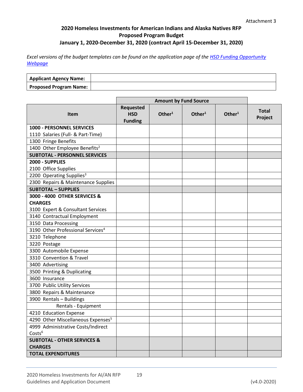#### **2020 Homeless Investments for American Indians and Alaska Natives RFP Proposed Program Budget January 1, 2020-December 31, 2020 (contract April 15-December 31, 2020)**

*Excel versions of the budget templates can be found on the application page of the [HSD Funding Opportunity](http://www.seattle.gov/humanservices/funding-and-reports/funding-opportunities)  [Webpage](http://www.seattle.gov/humanservices/funding-and-reports/funding-opportunities)*

| <b>Applicant Agency Name:</b> |  |
|-------------------------------|--|
| <b>Proposed Program Name:</b> |  |

|                                                | <b>Amount by Fund Source</b>                     |                    |                    |                    |                         |
|------------------------------------------------|--------------------------------------------------|--------------------|--------------------|--------------------|-------------------------|
| <b>Item</b>                                    | <b>Requested</b><br><b>HSD</b><br><b>Funding</b> | Other <sup>1</sup> | Other <sup>1</sup> | Other <sup>1</sup> | <b>Total</b><br>Project |
| <b>1000 - PERSONNEL SERVICES</b>               |                                                  |                    |                    |                    |                         |
| 1110 Salaries (Full- & Part-Time)              |                                                  |                    |                    |                    |                         |
| 1300 Fringe Benefits                           |                                                  |                    |                    |                    |                         |
| 1400 Other Employee Benefits <sup>2</sup>      |                                                  |                    |                    |                    |                         |
| <b>SUBTOTAL - PERSONNEL SERVICES</b>           |                                                  |                    |                    |                    |                         |
| 2000 - SUPPLIES                                |                                                  |                    |                    |                    |                         |
| 2100 Office Supplies                           |                                                  |                    |                    |                    |                         |
| 2200 Operating Supplies <sup>3</sup>           |                                                  |                    |                    |                    |                         |
| 2300 Repairs & Maintenance Supplies            |                                                  |                    |                    |                    |                         |
| <b>SUBTOTAL - SUPPLIES</b>                     |                                                  |                    |                    |                    |                         |
| 3000 - 4000 OTHER SERVICES &                   |                                                  |                    |                    |                    |                         |
| <b>CHARGES</b>                                 |                                                  |                    |                    |                    |                         |
| 3100 Expert & Consultant Services              |                                                  |                    |                    |                    |                         |
| 3140 Contractual Employment                    |                                                  |                    |                    |                    |                         |
| 3150 Data Processing                           |                                                  |                    |                    |                    |                         |
| 3190 Other Professional Services <sup>4</sup>  |                                                  |                    |                    |                    |                         |
| 3210 Telephone                                 |                                                  |                    |                    |                    |                         |
| 3220 Postage                                   |                                                  |                    |                    |                    |                         |
| 3300 Automobile Expense                        |                                                  |                    |                    |                    |                         |
| 3310 Convention & Travel                       |                                                  |                    |                    |                    |                         |
| 3400 Advertising                               |                                                  |                    |                    |                    |                         |
| 3500 Printing & Duplicating                    |                                                  |                    |                    |                    |                         |
| 3600 Insurance                                 |                                                  |                    |                    |                    |                         |
| 3700 Public Utility Services                   |                                                  |                    |                    |                    |                         |
| 3800 Repairs & Maintenance                     |                                                  |                    |                    |                    |                         |
| 3900 Rentals - Buildings                       |                                                  |                    |                    |                    |                         |
| Rentals - Equipment                            |                                                  |                    |                    |                    |                         |
| 4210 Education Expense                         |                                                  |                    |                    |                    |                         |
| 4290 Other Miscellaneous Expenses <sup>5</sup> |                                                  |                    |                    |                    |                         |
| 4999 Administrative Costs/Indirect             |                                                  |                    |                    |                    |                         |
| Costs <sup>6</sup>                             |                                                  |                    |                    |                    |                         |
| <b>SUBTOTAL - OTHER SERVICES &amp;</b>         |                                                  |                    |                    |                    |                         |
| <b>CHARGES</b>                                 |                                                  |                    |                    |                    |                         |
| <b>TOTAL EXPENDITURES</b>                      |                                                  |                    |                    |                    |                         |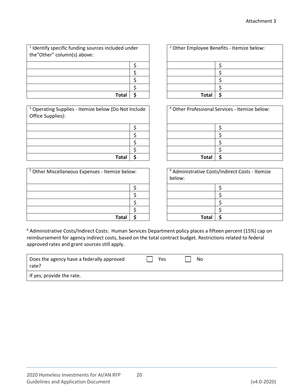| <sup>1</sup> Identify specific funding sources included under<br>the"Other" column(s) above: |  |  |
|----------------------------------------------------------------------------------------------|--|--|
|                                                                                              |  |  |
|                                                                                              |  |  |
|                                                                                              |  |  |
|                                                                                              |  |  |
| Total                                                                                        |  |  |

<sup>3</sup> Operating Supplies - Itemize below (Do Not Include Office Supplies):

| Total | - S |
|-------|-----|

| <sup>5</sup> Other Miscellaneous Expenses - Itemize below: | below: | <sup>6</sup> Administrative Costs/Indirect Costs - Itemize |  |
|------------------------------------------------------------|--------|------------------------------------------------------------|--|
|                                                            |        |                                                            |  |
|                                                            |        |                                                            |  |
|                                                            |        |                                                            |  |
|                                                            |        |                                                            |  |
| Total                                                      |        | Tota                                                       |  |

| ded under |  | <sup>2</sup> Other Employee Benefits - Itemize below: |  |  |  |
|-----------|--|-------------------------------------------------------|--|--|--|
|           |  |                                                       |  |  |  |
|           |  |                                                       |  |  |  |
|           |  |                                                       |  |  |  |
|           |  |                                                       |  |  |  |
| Total     |  | <b>Total</b>                                          |  |  |  |

|       | o Not Include | <sup>4</sup> Other Professional Services - Itemize below: |  |
|-------|---------------|-----------------------------------------------------------|--|
|       |               |                                                           |  |
|       |               |                                                           |  |
|       |               |                                                           |  |
|       |               |                                                           |  |
| Total |               | <b>Total</b>                                              |  |

| ze below: |  | <sup>6</sup> Administrative Costs/Indirect Costs - Itemize<br>below: |  |  |
|-----------|--|----------------------------------------------------------------------|--|--|
|           |  |                                                                      |  |  |
|           |  |                                                                      |  |  |
|           |  |                                                                      |  |  |
|           |  |                                                                      |  |  |
| Total     |  | <b>Total</b>                                                         |  |  |

<sup>6</sup> Administrative Costs/Indirect Costs: Human Services Department policy places a fifteen percent (15%) cap on reimbursement for agency indirect costs, based on the total contract budget. Restrictions related to federal approved rates and grant sources still apply.

| Does the agency have a federally approved<br>rate? | Yes | No |
|----------------------------------------------------|-----|----|
| If yes, provide the rate.                          |     |    |